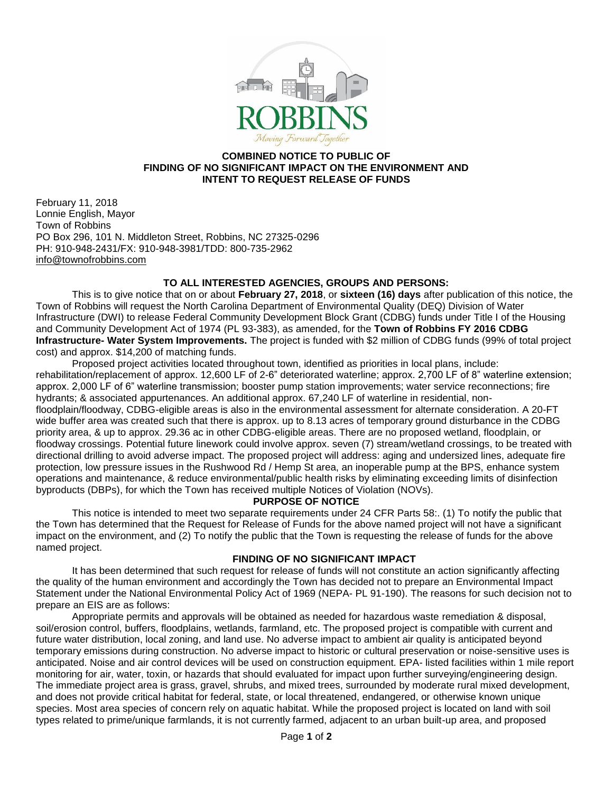

### **COMBINED NOTICE TO PUBLIC OF FINDING OF NO SIGNIFICANT IMPACT ON THE ENVIRONMENT AND INTENT TO REQUEST RELEASE OF FUNDS**

February 11, 2018 Lonnie English, Mayor Town of Robbins PO Box 296, 101 N. Middleton Street, Robbins, NC 27325-0296 PH: 910-948-2431/FX: 910-948-3981/TDD: 800-735-2962 [info@townofrobbins.com](mailto:info@townofrobbins.com)

## **TO ALL INTERESTED AGENCIES, GROUPS AND PERSONS:**

This is to give notice that on or about **February 27, 2018**, or **sixteen (16) days** after publication of this notice, the Town of Robbins will request the North Carolina Department of Environmental Quality (DEQ) Division of Water Infrastructure (DWI) to release Federal Community Development Block Grant (CDBG) funds under Title I of the Housing and Community Development Act of 1974 (PL 93-383), as amended, for the **Town of Robbins FY 2016 CDBG Infrastructure- Water System Improvements.** The project is funded with \$2 million of CDBG funds (99% of total project cost) and approx. \$14,200 of matching funds.

Proposed project activities located throughout town, identified as priorities in local plans, include: rehabilitation/replacement of approx. 12,600 LF of 2-6" deteriorated waterline; approx. 2,700 LF of 8" waterline extension; approx. 2,000 LF of 6" waterline transmission; booster pump station improvements; water service reconnections; fire hydrants; & associated appurtenances. An additional approx. 67,240 LF of waterline in residential, nonfloodplain/floodway, CDBG-eligible areas is also in the environmental assessment for alternate consideration. A 20-FT wide buffer area was created such that there is approx. up to 8.13 acres of temporary ground disturbance in the CDBG priority area, & up to approx. 29.36 ac in other CDBG-eligible areas. There are no proposed wetland, floodplain, or floodway crossings. Potential future linework could involve approx. seven (7) stream/wetland crossings, to be treated with directional drilling to avoid adverse impact. The proposed project will address: aging and undersized lines, adequate fire protection, low pressure issues in the Rushwood Rd / Hemp St area, an inoperable pump at the BPS, enhance system operations and maintenance, & reduce environmental/public health risks by eliminating exceeding limits of disinfection byproducts (DBPs), for which the Town has received multiple Notices of Violation (NOVs).

#### **PURPOSE OF NOTICE**

This notice is intended to meet two separate requirements under 24 CFR Parts 58:. (1) To notify the public that the Town has determined that the Request for Release of Funds for the above named project will not have a significant impact on the environment, and (2) To notify the public that the Town is requesting the release of funds for the above named project.

#### **FINDING OF NO SIGNIFICANT IMPACT**

It has been determined that such request for release of funds will not constitute an action significantly affecting the quality of the human environment and accordingly the Town has decided not to prepare an Environmental Impact Statement under the National Environmental Policy Act of 1969 (NEPA- PL 91-190). The reasons for such decision not to prepare an EIS are as follows:

Appropriate permits and approvals will be obtained as needed for hazardous waste remediation & disposal, soil/erosion control, buffers, floodplains, wetlands, farmland, etc. The proposed project is compatible with current and future water distribution, local zoning, and land use. No adverse impact to ambient air quality is anticipated beyond temporary emissions during construction. No adverse impact to historic or cultural preservation or noise-sensitive uses is anticipated. Noise and air control devices will be used on construction equipment. EPA- listed facilities within 1 mile report monitoring for air, water, toxin, or hazards that should evaluated for impact upon further surveying/engineering design. The immediate project area is grass, gravel, shrubs, and mixed trees, surrounded by moderate rural mixed development, and does not provide critical habitat for federal, state, or local threatened, endangered, or otherwise known unique species. Most area species of concern rely on aquatic habitat. While the proposed project is located on land with soil types related to prime/unique farmlands, it is not currently farmed, adjacent to an urban built-up area, and proposed